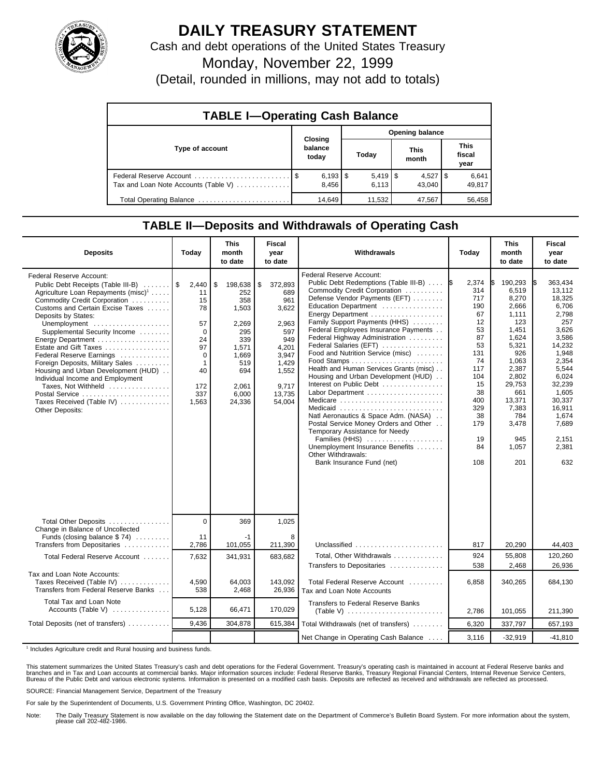

## **DAILY TREASURY STATEMENT**

Cash and debt operations of the United States Treasury

Monday, November 22, 1999

(Detail, rounded in millions, may not add to totals)

| <b>TABLE I-Operating Cash Balance</b> |                                |  |                       |  |                      |  |                               |  |  |
|---------------------------------------|--------------------------------|--|-----------------------|--|----------------------|--|-------------------------------|--|--|
|                                       |                                |  | Opening balance       |  |                      |  |                               |  |  |
| Type of account                       | Closing<br>balance<br>today    |  | Today                 |  | <b>This</b><br>month |  | <b>This</b><br>fiscal<br>year |  |  |
| Tax and Loan Note Accounts (Table V)  | $6,193$ $\frac{1}{3}$<br>8.456 |  | $5,419$ \ \$<br>6.113 |  | $4,527$ S<br>43.040  |  | 6,641<br>49,817               |  |  |
| Total Operating Balance               | 14,649                         |  | 11,532                |  | 47,567               |  | 56,458                        |  |  |

## **TABLE II—Deposits and Withdrawals of Operating Cash**

| <b>Deposits</b>                                                                                                                                                                                                                                                                                                                                                                                                                                                                                                                                              | Todav                                                                                                  | <b>This</b><br>month<br>to date                                                                                         | <b>Fiscal</b><br>year<br>to date                                                                                             | Withdrawals                                                                                                                                                                                                                                                                                                                                                                                                                                                                                                                                                                                                                                                                                                                                          | Today                                                                                                                                         | <b>This</b><br>month<br>to date                                                                                                                                                            | <b>Fiscal</b><br>year<br>to date                                                                                                                                                                       |
|--------------------------------------------------------------------------------------------------------------------------------------------------------------------------------------------------------------------------------------------------------------------------------------------------------------------------------------------------------------------------------------------------------------------------------------------------------------------------------------------------------------------------------------------------------------|--------------------------------------------------------------------------------------------------------|-------------------------------------------------------------------------------------------------------------------------|------------------------------------------------------------------------------------------------------------------------------|------------------------------------------------------------------------------------------------------------------------------------------------------------------------------------------------------------------------------------------------------------------------------------------------------------------------------------------------------------------------------------------------------------------------------------------------------------------------------------------------------------------------------------------------------------------------------------------------------------------------------------------------------------------------------------------------------------------------------------------------------|-----------------------------------------------------------------------------------------------------------------------------------------------|--------------------------------------------------------------------------------------------------------------------------------------------------------------------------------------------|--------------------------------------------------------------------------------------------------------------------------------------------------------------------------------------------------------|
| <b>Federal Reserve Account:</b><br>Public Debt Receipts (Table III-B)<br>Agriculture Loan Repayments (misc) <sup>1</sup><br>Commodity Credit Corporation<br>Customs and Certain Excise Taxes<br>Deposits by States:<br>Unemployment<br>Supplemental Security Income<br>Energy Department<br>Estate and Gift Taxes<br>Federal Reserve Earnings<br>Foreign Deposits, Military Sales<br>Housing and Urban Development (HUD)<br>Individual Income and Employment<br>Taxes, Not Withheld<br>Postal Service<br>Taxes Received (Table IV)<br><b>Other Deposits:</b> | 2,440<br>\$<br>11<br>15<br>78<br>57<br>0<br>24<br>97<br>0<br>$\mathbf{1}$<br>40<br>172<br>337<br>1,563 | \$<br>198,638<br>252<br>358<br>1,503<br>2,269<br>295<br>339<br>1,571<br>1.669<br>519<br>694<br>2,061<br>6,000<br>24,336 | \$<br>372,893<br>689<br>961<br>3,622<br>2,963<br>597<br>949<br>4,201<br>3.947<br>1,429<br>1,552<br>9,717<br>13,735<br>54,004 | <b>Federal Reserve Account:</b><br>Public Debt Redemptions (Table III-B)<br>Commodity Credit Corporation<br>Defense Vendor Payments (EFT)<br>Education Department<br>Energy Department<br>Family Support Payments (HHS)<br>Federal Employees Insurance Payments<br>Federal Highway Administration<br>Federal Salaries (EFT)<br>Food and Nutrition Service (misc)<br>Health and Human Services Grants (misc)<br>Housing and Urban Development (HUD)<br>Interest on Public Debt<br>Labor Department<br>Medicare<br>Medicaid<br>Natl Aeronautics & Space Adm. (NASA)<br>Postal Service Money Orders and Other<br>Temporary Assistance for Needy<br>Families (HHS)<br>Unemployment Insurance Benefits<br>Other Withdrawals:<br>Bank Insurance Fund (net) | 2,374<br>314<br>717<br>190<br>67<br>12<br>53<br>87<br>53<br>131<br>74<br>117<br>104<br>15<br>38<br>400<br>329<br>38<br>179<br>19<br>84<br>108 | 190,293<br>6,519<br>8,270<br>2,666<br>1,111<br>123<br>1.451<br>1,624<br>5,321<br>926<br>1,063<br>2,387<br>2,802<br>29,753<br>661<br>13,371<br>7,383<br>784<br>3,478<br>945<br>1,057<br>201 | 363,434<br>13.112<br>18.325<br>6,706<br>2,798<br>257<br>3.626<br>3,586<br>14,232<br>1,948<br>2,354<br>5,544<br>6,024<br>32,239<br>1,605<br>30,337<br>16,911<br>1,674<br>7,689<br>2,151<br>2,381<br>632 |
| Total Other Deposits<br>Change in Balance of Uncollected<br>Funds (closing balance \$74)                                                                                                                                                                                                                                                                                                                                                                                                                                                                     | $\Omega$<br>11                                                                                         | 369<br>-1                                                                                                               | 1,025<br>8                                                                                                                   |                                                                                                                                                                                                                                                                                                                                                                                                                                                                                                                                                                                                                                                                                                                                                      |                                                                                                                                               |                                                                                                                                                                                            |                                                                                                                                                                                                        |
| Transfers from Depositaries<br>Total Federal Reserve Account                                                                                                                                                                                                                                                                                                                                                                                                                                                                                                 | 2,786<br>7,632                                                                                         | 101,055<br>341.931                                                                                                      | 211,390<br>683.682                                                                                                           | Unclassified<br>Total, Other Withdrawals                                                                                                                                                                                                                                                                                                                                                                                                                                                                                                                                                                                                                                                                                                             | 817<br>924                                                                                                                                    | 20,290<br>55,808                                                                                                                                                                           | 44,403<br>120,260                                                                                                                                                                                      |
|                                                                                                                                                                                                                                                                                                                                                                                                                                                                                                                                                              |                                                                                                        |                                                                                                                         |                                                                                                                              | Transfers to Depositaries                                                                                                                                                                                                                                                                                                                                                                                                                                                                                                                                                                                                                                                                                                                            | 538                                                                                                                                           | 2,468                                                                                                                                                                                      | 26,936                                                                                                                                                                                                 |
| Tax and Loan Note Accounts:<br>Taxes Received (Table IV)<br>Transfers from Federal Reserve Banks                                                                                                                                                                                                                                                                                                                                                                                                                                                             | 4.590<br>538                                                                                           | 64,003<br>2.468                                                                                                         | 143.092<br>26,936                                                                                                            | Total Federal Reserve Account<br>Tax and Loan Note Accounts                                                                                                                                                                                                                                                                                                                                                                                                                                                                                                                                                                                                                                                                                          | 6.858                                                                                                                                         | 340,265                                                                                                                                                                                    | 684,130                                                                                                                                                                                                |
| Total Tax and Loan Note<br>Accounts (Table V)                                                                                                                                                                                                                                                                                                                                                                                                                                                                                                                | 5,128                                                                                                  | 66,471                                                                                                                  | 170,029                                                                                                                      | <b>Transfers to Federal Reserve Banks</b>                                                                                                                                                                                                                                                                                                                                                                                                                                                                                                                                                                                                                                                                                                            | 2,786                                                                                                                                         | 101,055                                                                                                                                                                                    | 211,390                                                                                                                                                                                                |
| Total Deposits (net of transfers)                                                                                                                                                                                                                                                                                                                                                                                                                                                                                                                            | 9.436                                                                                                  | 304.878                                                                                                                 | 615,384                                                                                                                      | Total Withdrawals (net of transfers)                                                                                                                                                                                                                                                                                                                                                                                                                                                                                                                                                                                                                                                                                                                 | 6,320                                                                                                                                         | 337,797                                                                                                                                                                                    | 657,193                                                                                                                                                                                                |
|                                                                                                                                                                                                                                                                                                                                                                                                                                                                                                                                                              |                                                                                                        |                                                                                                                         |                                                                                                                              | Net Change in Operating Cash Balance                                                                                                                                                                                                                                                                                                                                                                                                                                                                                                                                                                                                                                                                                                                 | 3,116                                                                                                                                         | $-32,919$                                                                                                                                                                                  | $-41.810$                                                                                                                                                                                              |

<sup>1</sup> Includes Agriculture credit and Rural housing and business funds.

This statement summarizes the United States Treasury's cash and debt operations for the Federal Government. Treasury's operating cash is maintained in account at Federal Reserve banks and<br>branches and in Tax and Loan accou

SOURCE: Financial Management Service, Department of the Treasury

For sale by the Superintendent of Documents, U.S. Government Printing Office, Washington, DC 20402.

Note: The Daily Treasury Statement is now available on the day following the Statement date on the Department of Commerce's Bulletin Board System. For more information about the system, please call 202-482-1986.